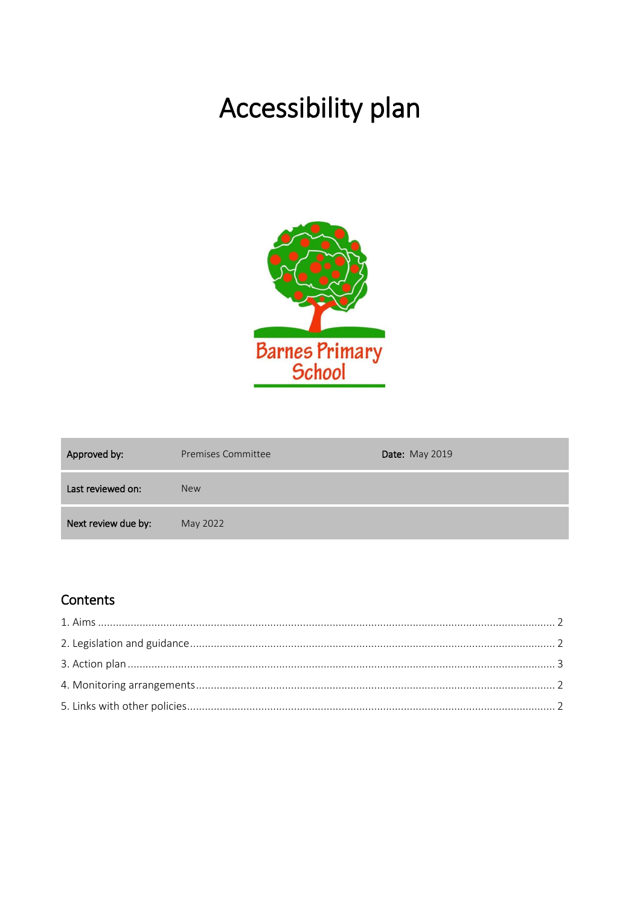# Accessibility plan



| Approved by:        | Premises Committee | <b>Date: May 2019</b> |
|---------------------|--------------------|-----------------------|
| Last reviewed on:   | <b>New</b>         |                       |
| Next review due by: | May 2022           |                       |

## Contents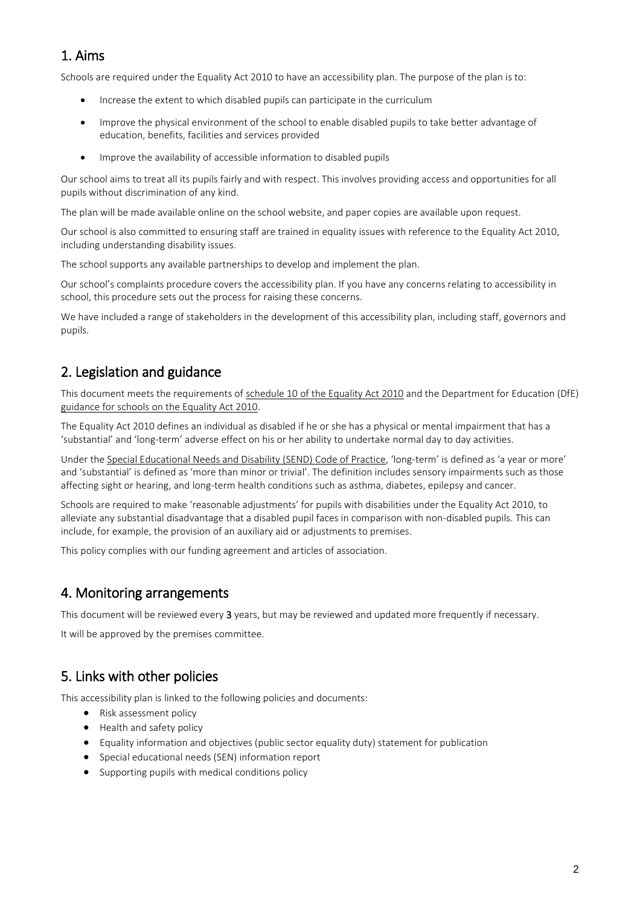## 1. Aims

Schools are required under the Equality Act 2010 to have an accessibility plan. The purpose of the plan is to:

- Increase the extent to which disabled pupils can participate in the curriculum
- Improve the physical environment of the school to enable disabled pupils to take better advantage of education, benefits, facilities and services provided
- Improve the availability of accessible information to disabled pupils

Our school aims to treat all its pupils fairly and with respect. This involves providing access and opportunities for all pupils without discrimination of any kind.

The plan will be made available online on the school website, and paper copies are available upon request.

Our school is also committed to ensuring staff are trained in equality issues with reference to the Equality Act 2010, including understanding disability issues.

The school supports any available partnerships to develop and implement the plan.

Our school's complaints procedure covers the accessibility plan. If you have any concerns relating to accessibility in school, this procedure sets out the process for raising these concerns.

We have included a range of stakeholders in the development of this accessibility plan, including staff, governors and pupils.

#### 2. Legislation and guidance

This document meets the requirements o[f schedule 10 of the Equality Act 2010](http://www.legislation.gov.uk/ukpga/2010/15/schedule/10) and the Department for Education (DfE) [guidance for schools on the Equality Act 2010.](https://www.gov.uk/government/publications/equality-act-2010-advice-for-schools)

The Equality Act 2010 defines an individual as disabled if he or she has a physical or mental impairment that has a 'substantial' and 'long-term' adverse effect on his or her ability to undertake normal day to day activities.

Under the [Special Educational Needs and Disability \(SEND\) Code of Practice](https://www.gov.uk/government/publications/send-code-of-practice-0-to-25), 'long-term' is defined as 'a year or more' and 'substantial' is defined as 'more than minor or trivial'. The definition includes sensory impairments such as those affecting sight or hearing, and long-term health conditions such as asthma, diabetes, epilepsy and cancer.

Schools are required to make 'reasonable adjustments' for pupils with disabilities under the Equality Act 2010, to alleviate any substantial disadvantage that a disabled pupil faces in comparison with non-disabled pupils. This can include, for example, the provision of an auxiliary aid or adjustments to premises.

This policy complies with our funding agreement and articles of association.

#### 4. Monitoring arrangements

This document will be reviewed every 3 years, but may be reviewed and updated more frequently if necessary.

It will be approved by the premises committee.

#### 5. Links with other policies

This accessibility plan is linked to the following policies and documents:

- Risk assessment policy
- Health and safety policy
- Equality information and objectives (public sector equality duty) statement for publication
- Special educational needs (SEN) information report
- Supporting pupils with medical conditions policy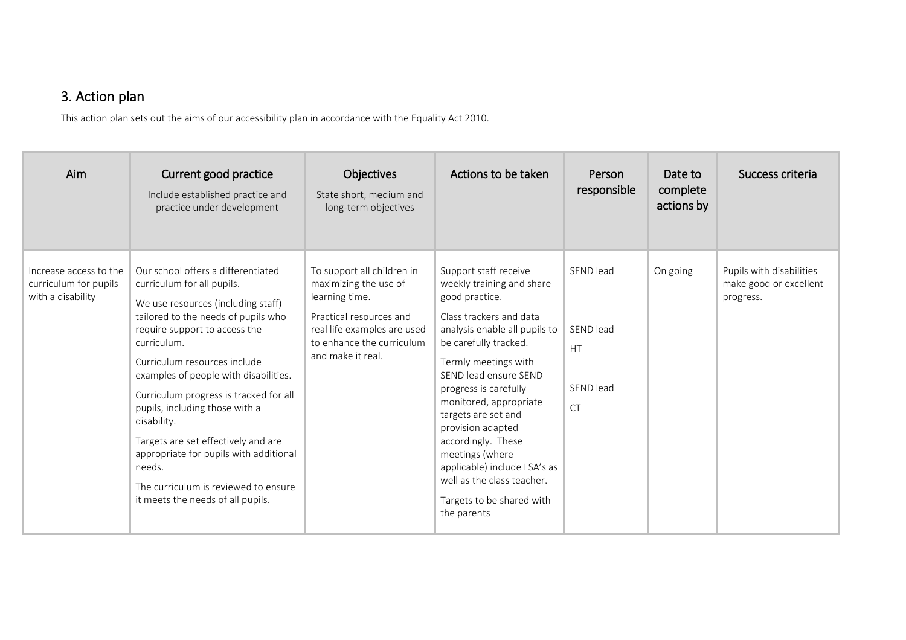# 3. Action plan

This action plan sets out the aims of our accessibility plan in accordance with the Equality Act 2010.

| Aim                                                                  | Current good practice<br>Include established practice and<br>practice under development                                                                                                                                                                                                                                                                                                                                                                                                                                                   | <b>Objectives</b><br>State short, medium and<br>long-term objectives                                                                                                              | Actions to be taken                                                                                                                                                                                                                                                                                                                                                                                                                                          | Person<br>responsible                                         | Date to<br>complete<br>actions by | Success criteria                                                |
|----------------------------------------------------------------------|-------------------------------------------------------------------------------------------------------------------------------------------------------------------------------------------------------------------------------------------------------------------------------------------------------------------------------------------------------------------------------------------------------------------------------------------------------------------------------------------------------------------------------------------|-----------------------------------------------------------------------------------------------------------------------------------------------------------------------------------|--------------------------------------------------------------------------------------------------------------------------------------------------------------------------------------------------------------------------------------------------------------------------------------------------------------------------------------------------------------------------------------------------------------------------------------------------------------|---------------------------------------------------------------|-----------------------------------|-----------------------------------------------------------------|
| Increase access to the<br>curriculum for pupils<br>with a disability | Our school offers a differentiated<br>curriculum for all pupils.<br>We use resources (including staff)<br>tailored to the needs of pupils who<br>require support to access the<br>curriculum.<br>Curriculum resources include<br>examples of people with disabilities.<br>Curriculum progress is tracked for all<br>pupils, including those with a<br>disability.<br>Targets are set effectively and are<br>appropriate for pupils with additional<br>needs.<br>The curriculum is reviewed to ensure<br>it meets the needs of all pupils. | To support all children in<br>maximizing the use of<br>learning time.<br>Practical resources and<br>real life examples are used<br>to enhance the curriculum<br>and make it real. | Support staff receive<br>weekly training and share<br>good practice.<br>Class trackers and data<br>analysis enable all pupils to<br>be carefully tracked.<br>Termly meetings with<br>SEND lead ensure SEND<br>progress is carefully<br>monitored, appropriate<br>targets are set and<br>provision adapted<br>accordingly. These<br>meetings (where<br>applicable) include LSA's as<br>well as the class teacher.<br>Targets to be shared with<br>the parents | SEND lead<br>SEND lead<br><b>HT</b><br>SEND lead<br><b>CT</b> | On going                          | Pupils with disabilities<br>make good or excellent<br>progress. |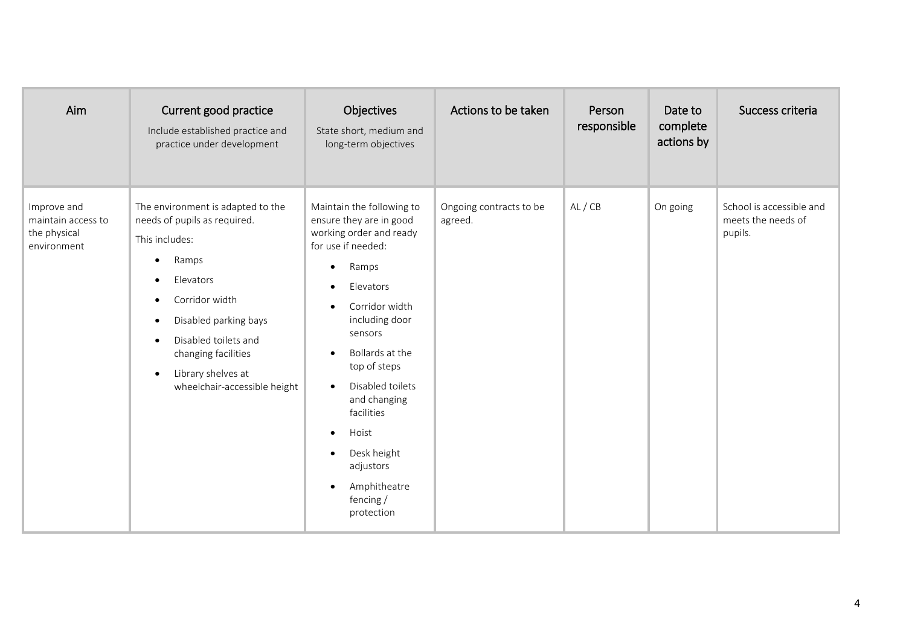| Aim                                                              | Current good practice<br>Include established practice and<br>practice under development                                                                                                                                                                                                       | Objectives<br>State short, medium and<br>long-term objectives                                                                                                                                                                                                                                                                                                                                                                              | Actions to be taken                | Person<br>responsible | Date to<br>complete<br>actions by | Success criteria                                          |
|------------------------------------------------------------------|-----------------------------------------------------------------------------------------------------------------------------------------------------------------------------------------------------------------------------------------------------------------------------------------------|--------------------------------------------------------------------------------------------------------------------------------------------------------------------------------------------------------------------------------------------------------------------------------------------------------------------------------------------------------------------------------------------------------------------------------------------|------------------------------------|-----------------------|-----------------------------------|-----------------------------------------------------------|
| Improve and<br>maintain access to<br>the physical<br>environment | The environment is adapted to the<br>needs of pupils as required.<br>This includes:<br>Ramps<br>٠<br>Elevators<br>Corridor width<br>Disabled parking bays<br>٠<br>Disabled toilets and<br>$\bullet$<br>changing facilities<br>Library shelves at<br>$\bullet$<br>wheelchair-accessible height | Maintain the following to<br>ensure they are in good<br>working order and ready<br>for use if needed:<br>Ramps<br>$\bullet$<br>Elevators<br>Corridor width<br>$\bullet$<br>including door<br>sensors<br>Bollards at the<br>$\bullet$<br>top of steps<br>Disabled toilets<br>$\bullet$<br>and changing<br>facilities<br>Hoist<br>$\bullet$<br>Desk height<br>$\bullet$<br>adjustors<br>Amphitheatre<br>$\bullet$<br>fencing /<br>protection | Ongoing contracts to be<br>agreed. | AL / CB               | On going                          | School is accessible and<br>meets the needs of<br>pupils. |